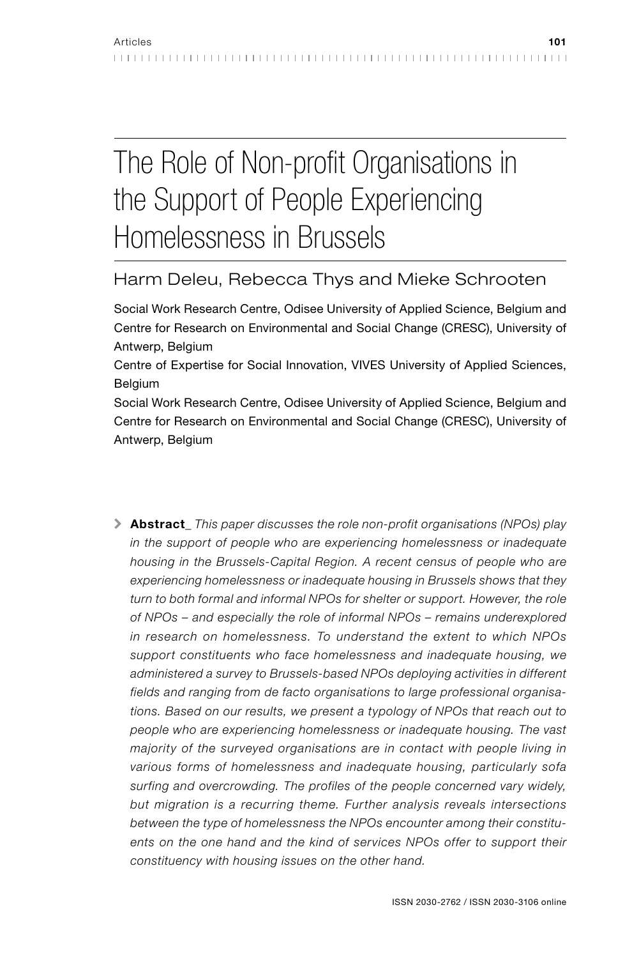# The Role of Non-profit Organisations in the Support of People Experiencing Homelessness in Brussels

# Harm Deleu, Rebecca Thys and Mieke Schrooten

Social Work Research Centre, Odisee University of Applied Science, Belgium and Centre for Research on Environmental and Social Change (CRESC), University of Antwerp, Belgium

Centre of Expertise for Social Innovation, VIVES University of Applied Sciences, Belgium

Social Work Research Centre, Odisee University of Applied Science, Belgium and Centre for Research on Environmental and Social Change (CRESC), University of Antwerp, Belgium

\ Abstract*\_ This paper discusses the role non-profit organisations (NPOs) play in the support of people who are experiencing homelessness or inadequate housing in the Brussels-Capital Region. A recent census of people who are experiencing homelessness or inadequate housing in Brussels shows that they turn to both formal and informal NPOs for shelter or support. However, the role of NPOs – and especially the role of informal NPOs – remains underexplored in research on homelessness. To understand the extent to which NPOs support constituents who face homelessness and inadequate housing, we administered a survey to Brussels-based NPOs deploying activities in different fields and ranging from de facto organisations to large professional organisations. Based on our results, we present a typology of NPOs that reach out to people who are experiencing homelessness or inadequate housing. The vast majority of the surveyed organisations are in contact with people living in various forms of homelessness and inadequate housing, particularly sofa surfing and overcrowding. The profiles of the people concerned vary widely, but migration is a recurring theme. Further analysis reveals intersections between the type of homelessness the NPOs encounter among their constituents on the one hand and the kind of services NPOs offer to support their constituency with housing issues on the other hand.*

. . . . . . . . . . . . . . . . . . . .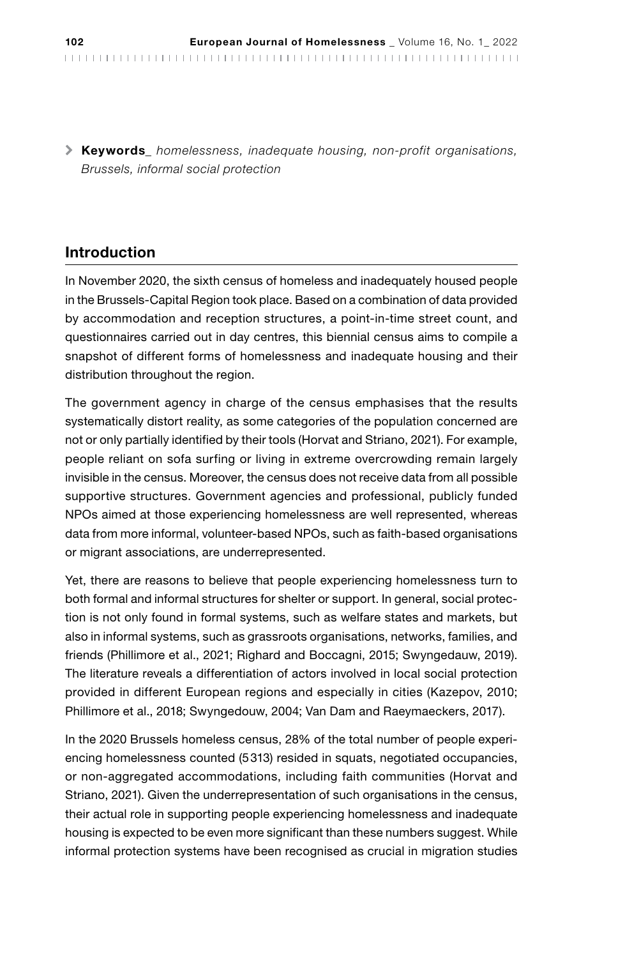\ Keywords*\_ homelessness, inadequate housing, non-profit organisations, Brussels, informal social protection*

### Introduction

In November 2020, the sixth census of homeless and inadequately housed people in the Brussels-Capital Region took place. Based on a combination of data provided by accommodation and reception structures, a point-in-time street count, and questionnaires carried out in day centres, this biennial census aims to compile a snapshot of different forms of homelessness and inadequate housing and their distribution throughout the region.

The government agency in charge of the census emphasises that the results systematically distort reality, as some categories of the population concerned are not or only partially identified by their tools (Horvat and Striano, 2021). For example, people reliant on sofa surfing or living in extreme overcrowding remain largely invisible in the census. Moreover, the census does not receive data from all possible supportive structures. Government agencies and professional, publicly funded NPOs aimed at those experiencing homelessness are well represented, whereas data from more informal, volunteer-based NPOs, such as faith-based organisations or migrant associations, are underrepresented.

Yet, there are reasons to believe that people experiencing homelessness turn to both formal and informal structures for shelter or support. In general, social protection is not only found in formal systems, such as welfare states and markets, but also in informal systems, such as grassroots organisations, networks, families, and friends (Phillimore et al., 2021; Righard and Boccagni, 2015; Swyngedauw, 2019). The literature reveals a differentiation of actors involved in local social protection provided in different European regions and especially in cities (Kazepov, 2010; Phillimore et al., 2018; Swyngedouw, 2004; Van Dam and Raeymaeckers, 2017).

In the 2020 Brussels homeless census, 28% of the total number of people experiencing homelessness counted (5313) resided in squats, negotiated occupancies, or non-aggregated accommodations, including faith communities (Horvat and Striano, 2021). Given the underrepresentation of such organisations in the census, their actual role in supporting people experiencing homelessness and inadequate housing is expected to be even more significant than these numbers suggest. While informal protection systems have been recognised as crucial in migration studies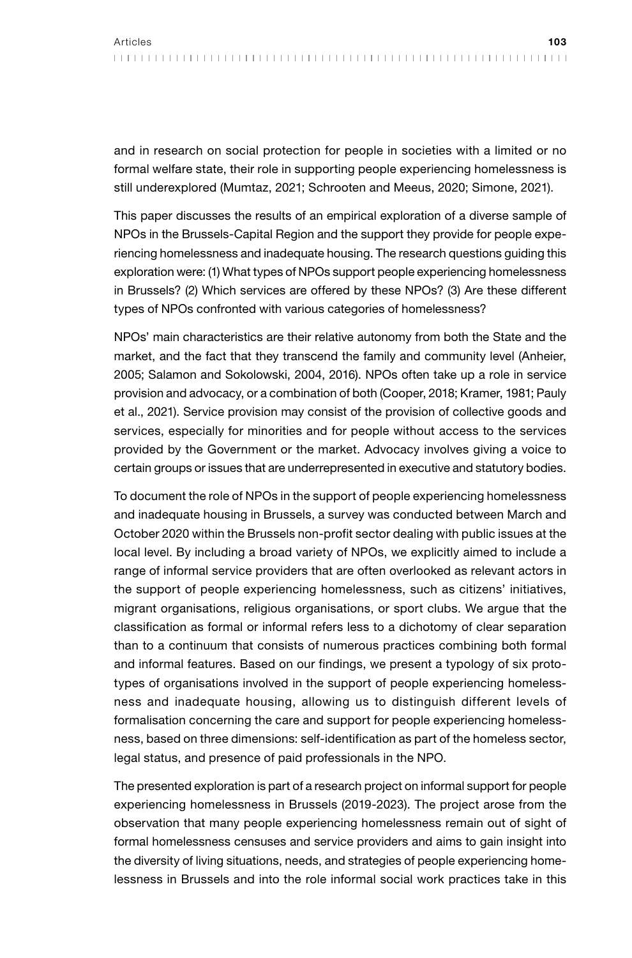and in research on social protection for people in societies with a limited or no formal welfare state, their role in supporting people experiencing homelessness is still underexplored (Mumtaz, 2021; Schrooten and Meeus, 2020; Simone, 2021).

This paper discusses the results of an empirical exploration of a diverse sample of NPOs in the Brussels-Capital Region and the support they provide for people experiencing homelessness and inadequate housing. The research questions guiding this exploration were: (1) What types of NPOs support people experiencing homelessness in Brussels? (2) Which services are offered by these NPOs? (3) Are these different types of NPOs confronted with various categories of homelessness?

NPOs' main characteristics are their relative autonomy from both the State and the market, and the fact that they transcend the family and community level (Anheier, 2005; Salamon and Sokolowski, 2004, 2016). NPOs often take up a role in service provision and advocacy, or a combination of both (Cooper, 2018; Kramer, 1981; Pauly et al., 2021). Service provision may consist of the provision of collective goods and services, especially for minorities and for people without access to the services provided by the Government or the market. Advocacy involves giving a voice to certain groups or issues that are underrepresented in executive and statutory bodies.

To document the role of NPOs in the support of people experiencing homelessness and inadequate housing in Brussels, a survey was conducted between March and October 2020 within the Brussels non-profit sector dealing with public issues at the local level. By including a broad variety of NPOs, we explicitly aimed to include a range of informal service providers that are often overlooked as relevant actors in the support of people experiencing homelessness, such as citizens' initiatives, migrant organisations, religious organisations, or sport clubs. We argue that the classification as formal or informal refers less to a dichotomy of clear separation than to a continuum that consists of numerous practices combining both formal and informal features. Based on our findings, we present a typology of six prototypes of organisations involved in the support of people experiencing homelessness and inadequate housing, allowing us to distinguish different levels of formalisation concerning the care and support for people experiencing homelessness, based on three dimensions: self-identification as part of the homeless sector, legal status, and presence of paid professionals in the NPO.

The presented exploration is part of a research project on informal support for people experiencing homelessness in Brussels (2019-2023). The project arose from the observation that many people experiencing homelessness remain out of sight of formal homelessness censuses and service providers and aims to gain insight into the diversity of living situations, needs, and strategies of people experiencing homelessness in Brussels and into the role informal social work practices take in this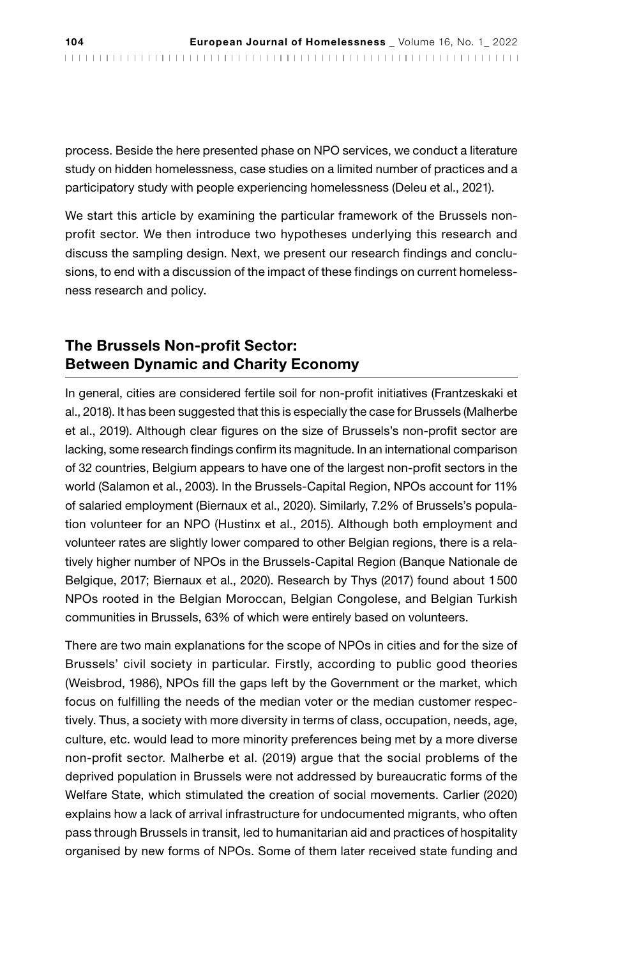process. Beside the here presented phase on NPO services, we conduct a literature study on hidden homelessness, case studies on a limited number of practices and a participatory study with people experiencing homelessness (Deleu et al., 2021).

We start this article by examining the particular framework of the Brussels nonprofit sector. We then introduce two hypotheses underlying this research and discuss the sampling design. Next, we present our research findings and conclusions, to end with a discussion of the impact of these findings on current homelessness research and policy.

## The Brussels Non-profit Sector: Between Dynamic and Charity Economy

In general, cities are considered fertile soil for non-profit initiatives (Frantzeskaki et al., 2018). It has been suggested that this is especially the case for Brussels (Malherbe et al., 2019). Although clear figures on the size of Brussels's non-profit sector are lacking, some research findings confirm its magnitude. In an international comparison of 32 countries, Belgium appears to have one of the largest non-profit sectors in the world (Salamon et al., 2003). In the Brussels-Capital Region, NPOs account for 11% of salaried employment (Biernaux et al., 2020). Similarly, 7.2% of Brussels's population volunteer for an NPO (Hustinx et al., 2015). Although both employment and volunteer rates are slightly lower compared to other Belgian regions, there is a relatively higher number of NPOs in the Brussels-Capital Region (Banque Nationale de Belgique, 2017; Biernaux et al., 2020). Research by Thys (2017) found about 1500 NPOs rooted in the Belgian Moroccan, Belgian Congolese, and Belgian Turkish communities in Brussels, 63% of which were entirely based on volunteers.

There are two main explanations for the scope of NPOs in cities and for the size of Brussels' civil society in particular. Firstly, according to public good theories (Weisbrod, 1986), NPOs fill the gaps left by the Government or the market, which focus on fulfilling the needs of the median voter or the median customer respectively. Thus, a society with more diversity in terms of class, occupation, needs, age, culture, etc. would lead to more minority preferences being met by a more diverse non-profit sector. Malherbe et al. (2019) argue that the social problems of the deprived population in Brussels were not addressed by bureaucratic forms of the Welfare State, which stimulated the creation of social movements. Carlier (2020) explains how a lack of arrival infrastructure for undocumented migrants, who often pass through Brussels in transit, led to humanitarian aid and practices of hospitality organised by new forms of NPOs. Some of them later received state funding and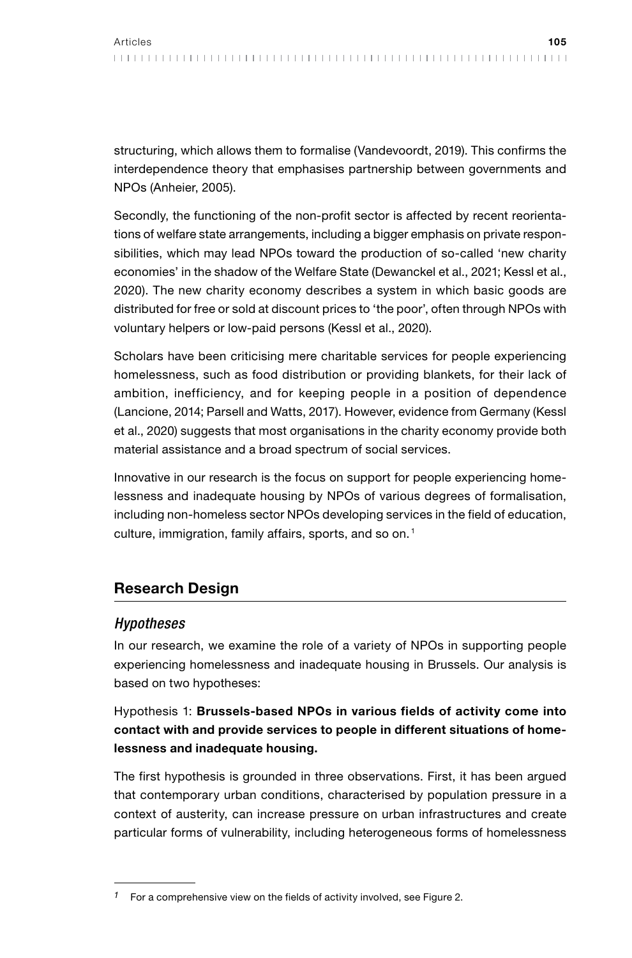structuring, which allows them to formalise (Vandevoordt, 2019). This confirms the interdependence theory that emphasises partnership between governments and NPOs (Anheier, 2005).

Secondly, the functioning of the non-profit sector is affected by recent reorientations of welfare state arrangements, including a bigger emphasis on private responsibilities, which may lead NPOs toward the production of so-called 'new charity economies' in the shadow of the Welfare State (Dewanckel et al., 2021; Kessl et al., 2020). The new charity economy describes a system in which basic goods are distributed for free or sold at discount prices to 'the poor', often through NPOs with voluntary helpers or low-paid persons (Kessl et al., 2020).

Scholars have been criticising mere charitable services for people experiencing homelessness, such as food distribution or providing blankets, for their lack of ambition, inefficiency, and for keeping people in a position of dependence (Lancione, 2014; Parsell and Watts, 2017). However, evidence from Germany (Kessl et al., 2020) suggests that most organisations in the charity economy provide both material assistance and a broad spectrum of social services.

Innovative in our research is the focus on support for people experiencing homelessness and inadequate housing by NPOs of various degrees of formalisation, including non-homeless sector NPOs developing services in the field of education, culture, immigration, family affairs, sports, and so on.<sup>1</sup>

# Research Design

#### *Hypotheses*

In our research, we examine the role of a variety of NPOs in supporting people experiencing homelessness and inadequate housing in Brussels. Our analysis is based on two hypotheses:

## Hypothesis 1: Brussels-based NPOs in various fields of activity come into contact with and provide services to people in different situations of homelessness and inadequate housing.

The first hypothesis is grounded in three observations. First, it has been argued that contemporary urban conditions, characterised by population pressure in a context of austerity, can increase pressure on urban infrastructures and create particular forms of vulnerability, including heterogeneous forms of homelessness

*<sup>1</sup>* For a comprehensive view on the fields of activity involved, see Figure 2.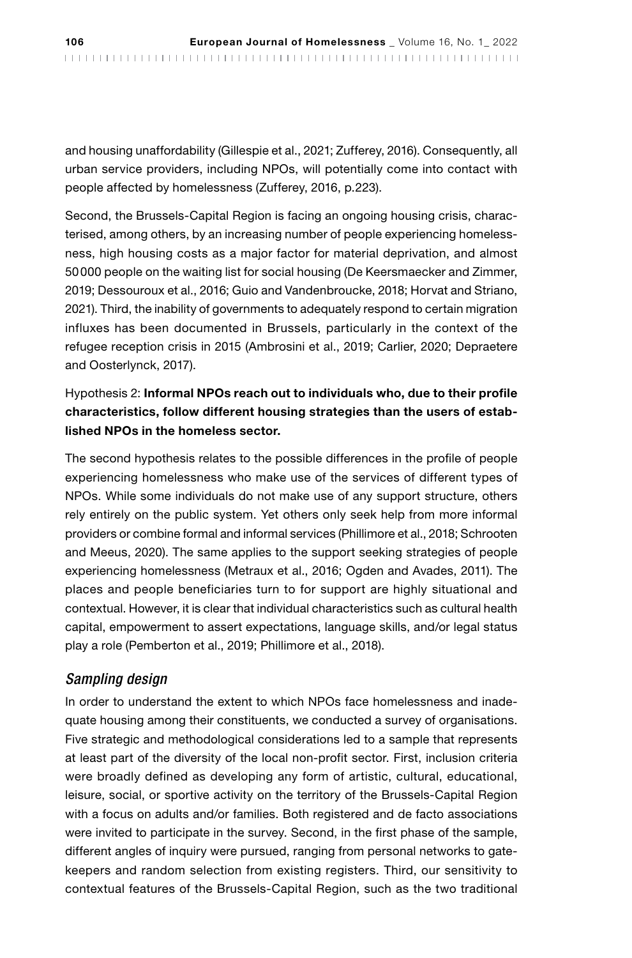and housing unaffordability (Gillespie et al., 2021; Zufferey, 2016). Consequently, all urban service providers, including NPOs, will potentially come into contact with people affected by homelessness (Zufferey, 2016, p.223).

Second, the Brussels-Capital Region is facing an ongoing housing crisis, characterised, among others, by an increasing number of people experiencing homelessness, high housing costs as a major factor for material deprivation, and almost 50000 people on the waiting list for social housing (De Keersmaecker and Zimmer, 2019; Dessouroux et al., 2016; Guio and Vandenbroucke, 2018; Horvat and Striano, 2021). Third, the inability of governments to adequately respond to certain migration influxes has been documented in Brussels, particularly in the context of the refugee reception crisis in 2015 (Ambrosini et al., 2019; Carlier, 2020; Depraetere and Oosterlynck, 2017).

#### Hypothesis 2: Informal NPOs reach out to individuals who, due to their profile characteristics, follow different housing strategies than the users of established NPOs in the homeless sector.

The second hypothesis relates to the possible differences in the profile of people experiencing homelessness who make use of the services of different types of NPOs. While some individuals do not make use of any support structure, others rely entirely on the public system. Yet others only seek help from more informal providers or combine formal and informal services (Phillimore et al., 2018; Schrooten and Meeus, 2020). The same applies to the support seeking strategies of people experiencing homelessness (Metraux et al., 2016; Ogden and Avades, 2011). The places and people beneficiaries turn to for support are highly situational and contextual. However, it is clear that individual characteristics such as cultural health capital, empowerment to assert expectations, language skills, and/or legal status play a role (Pemberton et al., 2019; Phillimore et al., 2018).

#### *Sampling design*

In order to understand the extent to which NPOs face homelessness and inadequate housing among their constituents, we conducted a survey of organisations. Five strategic and methodological considerations led to a sample that represents at least part of the diversity of the local non-profit sector. First, inclusion criteria were broadly defined as developing any form of artistic, cultural, educational, leisure, social, or sportive activity on the territory of the Brussels-Capital Region with a focus on adults and/or families. Both registered and de facto associations were invited to participate in the survey. Second, in the first phase of the sample, different angles of inquiry were pursued, ranging from personal networks to gatekeepers and random selection from existing registers. Third, our sensitivity to contextual features of the Brussels-Capital Region, such as the two traditional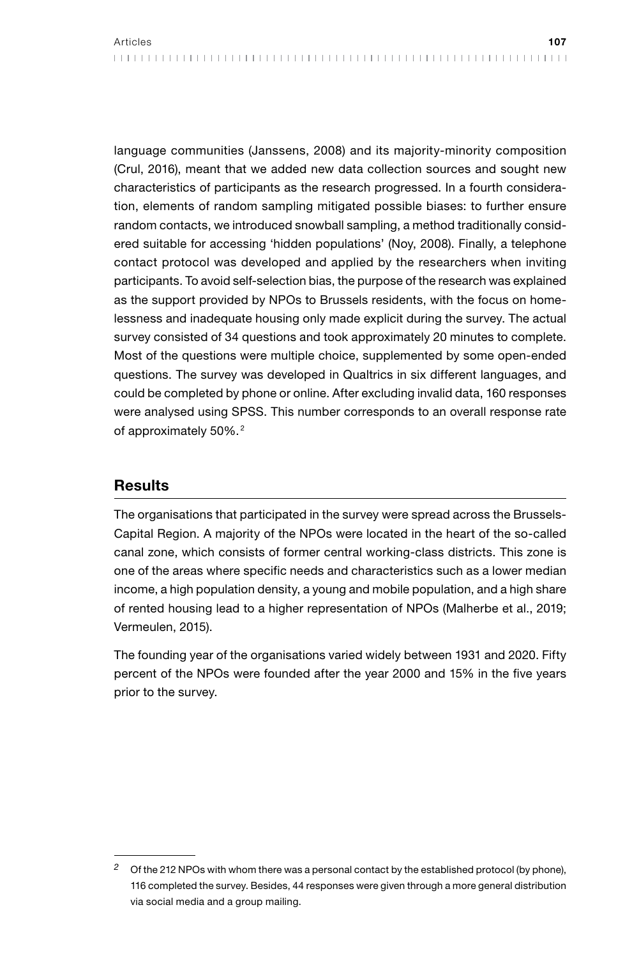language communities (Janssens, 2008) and its majority-minority composition (Crul, 2016), meant that we added new data collection sources and sought new characteristics of participants as the research progressed. In a fourth consideration, elements of random sampling mitigated possible biases: to further ensure random contacts, we introduced snowball sampling, a method traditionally considered suitable for accessing 'hidden populations' (Noy, 2008). Finally, a telephone contact protocol was developed and applied by the researchers when inviting participants. To avoid self-selection bias, the purpose of the research was explained as the support provided by NPOs to Brussels residents, with the focus on homelessness and inadequate housing only made explicit during the survey. The actual survey consisted of 34 questions and took approximately 20 minutes to complete. Most of the questions were multiple choice, supplemented by some open-ended questions. The survey was developed in Qualtrics in six different languages, and could be completed by phone or online. After excluding invalid data, 160 responses were analysed using SPSS. This number corresponds to an overall response rate of approximately 50%. <sup>2</sup>

#### Results

The organisations that participated in the survey were spread across the Brussels-Capital Region. A majority of the NPOs were located in the heart of the so-called canal zone, which consists of former central working-class districts. This zone is one of the areas where specific needs and characteristics such as a lower median income, a high population density, a young and mobile population, and a high share of rented housing lead to a higher representation of NPOs (Malherbe et al., 2019; Vermeulen, 2015).

The founding year of the organisations varied widely between 1931 and 2020. Fifty percent of the NPOs were founded after the year 2000 and 15% in the five years prior to the survey.

*<sup>2</sup>* Of the 212 NPOs with whom there was a personal contact by the established protocol (by phone), 116 completed the survey. Besides, 44 responses were given through a more general distribution via social media and a group mailing.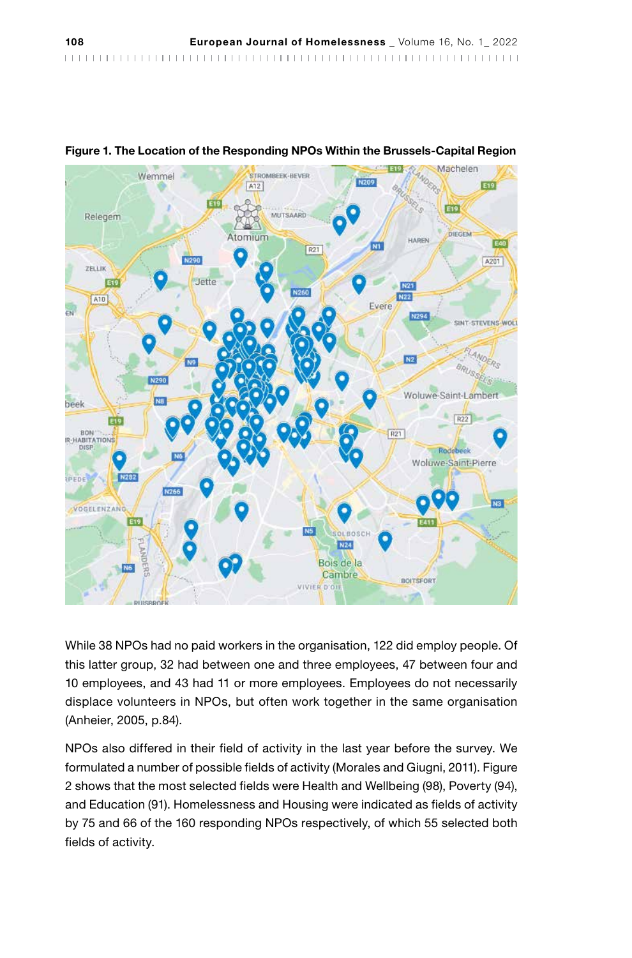

Figure 1. The Location of the Responding NPOs Within the Brussels-Capital Region

While 38 NPOs had no paid workers in the organisation, 122 did employ people. Of this latter group, 32 had between one and three employees, 47 between four and 10 employees, and 43 had 11 or more employees. Employees do not necessarily displace volunteers in NPOs, but often work together in the same organisation (Anheier, 2005, p.84).

NPOs also differed in their field of activity in the last year before the survey. We formulated a number of possible fields of activity (Morales and Giugni, 2011). Figure 2 shows that the most selected fields were Health and Wellbeing (98), Poverty (94), and Education (91). Homelessness and Housing were indicated as fields of activity by 75 and 66 of the 160 responding NPOs respectively, of which 55 selected both fields of activity.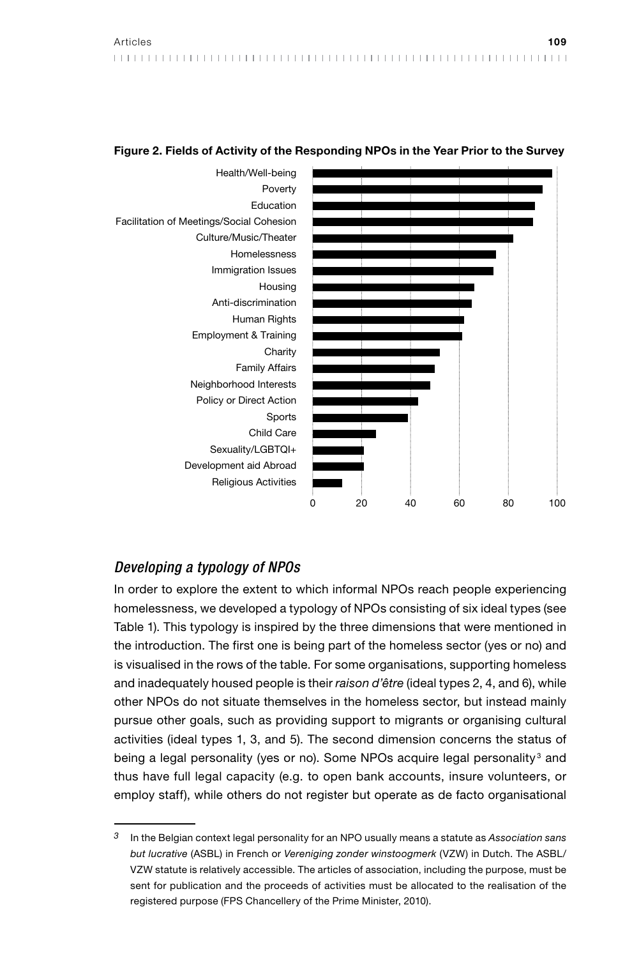

#### Figure 2. Fields of Activity of the Responding NPOs in the Year Prior to the Survey

#### *Developing a typology of NPOs*

In order to explore the extent to which informal NPOs reach people experiencing homelessness, we developed a typology of NPOs consisting of six ideal types (see Table 1). This typology is inspired by the three dimensions that were mentioned in the introduction. The first one is being part of the homeless sector (yes or no) and is visualised in the rows of the table. For some organisations, supporting homeless and inadequately housed people is their *raison d'être* (ideal types 2, 4, and 6), while other NPOs do not situate themselves in the homeless sector, but instead mainly pursue other goals, such as providing support to migrants or organising cultural activities (ideal types 1, 3, and 5). The second dimension concerns the status of being a legal personality (yes or no). Some NPOs acquire legal personality<sup>3</sup> and thus have full legal capacity (e.g. to open bank accounts, insure volunteers, or employ staff), while others do not register but operate as de facto organisational

*<sup>3</sup>* In the Belgian context legal personality for an NPO usually means a statute as *Association sans but lucrative* (ASBL) in French or *Vereniging zonder winstoogmerk* (VZW) in Dutch. The ASBL/ VZW statute is relatively accessible. The articles of association, including the purpose, must be sent for publication and the proceeds of activities must be allocated to the realisation of the registered purpose (FPS Chancellery of the Prime Minister, 2010).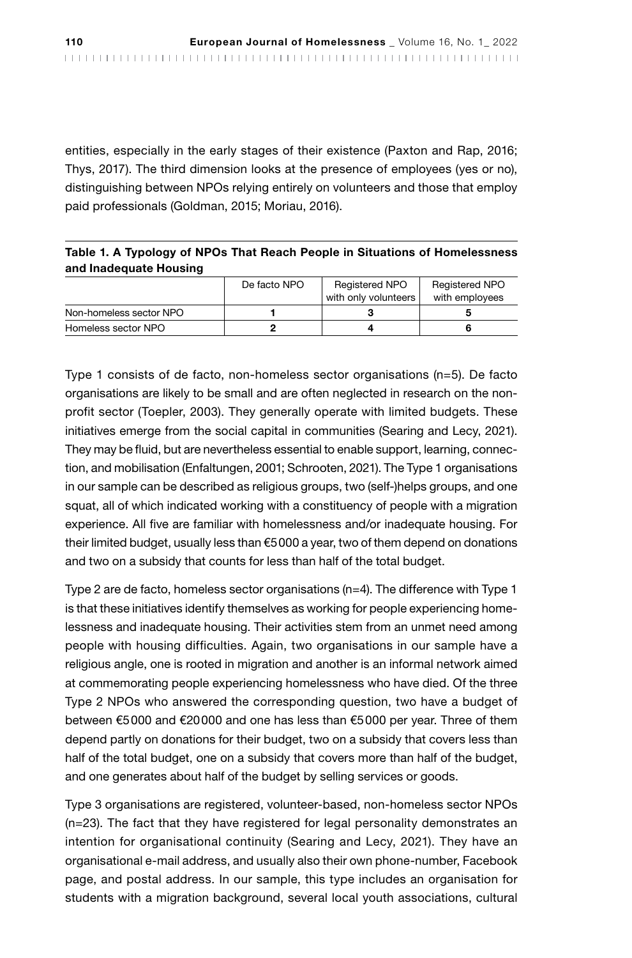entities, especially in the early stages of their existence (Paxton and Rap, 2016; Thys, 2017). The third dimension looks at the presence of employees (yes or no), distinguishing between NPOs relying entirely on volunteers and those that employ paid professionals (Goldman, 2015; Moriau, 2016).

#### Table 1. A Typology of NPOs That Reach People in Situations of Homelessness and Inadequate Housing

|                         | De facto NPO | Registered NPO<br>with only volunteers | Registered NPO<br>with employees |
|-------------------------|--------------|----------------------------------------|----------------------------------|
| Non-homeless sector NPO |              |                                        |                                  |
| Homeless sector NPO     |              |                                        |                                  |

Type 1 consists of de facto, non-homeless sector organisations (n=5). De facto organisations are likely to be small and are often neglected in research on the nonprofit sector (Toepler, 2003). They generally operate with limited budgets. These initiatives emerge from the social capital in communities (Searing and Lecy, 2021). They may be fluid, but are nevertheless essential to enable support, learning, connection, and mobilisation (Enfaltungen, 2001; Schrooten, 2021). The Type 1 organisations in our sample can be described as religious groups, two (self-)helps groups, and one squat, all of which indicated working with a constituency of people with a migration experience. All five are familiar with homelessness and/or inadequate housing. For their limited budget, usually less than  $€5000$  a year, two of them depend on donations and two on a subsidy that counts for less than half of the total budget.

Type 2 are de facto, homeless sector organisations (n=4). The difference with Type 1 is that these initiatives identify themselves as working for people experiencing homelessness and inadequate housing. Their activities stem from an unmet need among people with housing difficulties. Again, two organisations in our sample have a religious angle, one is rooted in migration and another is an informal network aimed at commemorating people experiencing homelessness who have died. Of the three Type 2 NPOs who answered the corresponding question, two have a budget of between €5000 and €20000 and one has less than €5000 per year. Three of them depend partly on donations for their budget, two on a subsidy that covers less than half of the total budget, one on a subsidy that covers more than half of the budget, and one generates about half of the budget by selling services or goods.

Type 3 organisations are registered, volunteer-based, non-homeless sector NPOs (n=23). The fact that they have registered for legal personality demonstrates an intention for organisational continuity (Searing and Lecy, 2021). They have an organisational e-mail address, and usually also their own phone-number, Facebook page, and postal address. In our sample, this type includes an organisation for students with a migration background, several local youth associations, cultural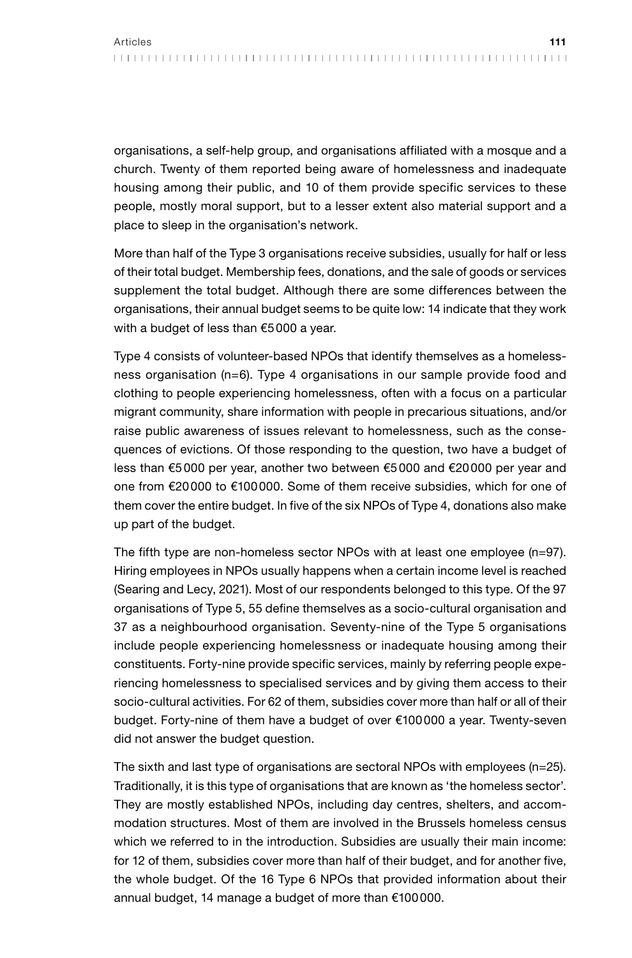organisations, a self-help group, and organisations affiliated with a mosque and a church. Twenty of them reported being aware of homelessness and inadequate housing among their public, and 10 of them provide specific services to these people, mostly moral support, but to a lesser extent also material support and a place to sleep in the organisation's network.

More than half of the Type 3 organisations receive subsidies, usually for half or less of their total budget. Membership fees, donations, and the sale of goods or services supplement the total budget. Although there are some differences between the organisations, their annual budget seems to be quite low: 14 indicate that they work with a budget of less than €5000 a year.

Type 4 consists of volunteer-based NPOs that identify themselves as a homelessness organisation (n=6). Type 4 organisations in our sample provide food and clothing to people experiencing homelessness, often with a focus on a particular migrant community, share information with people in precarious situations, and/or raise public awareness of issues relevant to homelessness, such as the consequences of evictions. Of those responding to the question, two have a budget of less than €5000 per year, another two between €5000 and €20000 per year and one from €20000 to €100000. Some of them receive subsidies, which for one of them cover the entire budget. In five of the six NPOs of Type 4, donations also make up part of the budget.

The fifth type are non-homeless sector NPOs with at least one employee (n=97). Hiring employees in NPOs usually happens when a certain income level is reached (Searing and Lecy, 2021). Most of our respondents belonged to this type. Of the 97 organisations of Type 5, 55 define themselves as a socio-cultural organisation and 37 as a neighbourhood organisation. Seventy-nine of the Type 5 organisations include people experiencing homelessness or inadequate housing among their constituents. Forty-nine provide specific services, mainly by referring people experiencing homelessness to specialised services and by giving them access to their socio-cultural activities. For 62 of them, subsidies cover more than half or all of their budget. Forty-nine of them have a budget of over €100000 a year. Twenty-seven did not answer the budget question.

The sixth and last type of organisations are sectoral NPOs with employees (n=25). Traditionally, it is this type of organisations that are known as 'the homeless sector'. They are mostly established NPOs, including day centres, shelters, and accommodation structures. Most of them are involved in the Brussels homeless census which we referred to in the introduction. Subsidies are usually their main income: for 12 of them, subsidies cover more than half of their budget, and for another five, the whole budget. Of the 16 Type 6 NPOs that provided information about their annual budget, 14 manage a budget of more than €100000.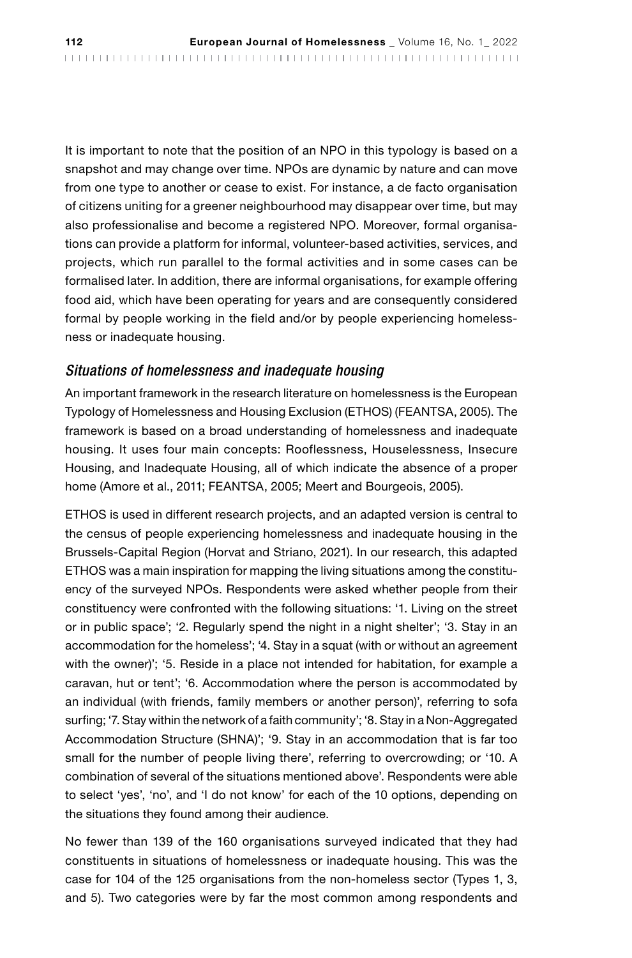It is important to note that the position of an NPO in this typology is based on a snapshot and may change over time. NPOs are dynamic by nature and can move from one type to another or cease to exist. For instance, a de facto organisation of citizens uniting for a greener neighbourhood may disappear over time, but may also professionalise and become a registered NPO. Moreover, formal organisations can provide a platform for informal, volunteer-based activities, services, and projects, which run parallel to the formal activities and in some cases can be formalised later. In addition, there are informal organisations, for example offering food aid, which have been operating for years and are consequently considered formal by people working in the field and/or by people experiencing homelessness or inadequate housing.

#### *Situations of homelessness and inadequate housing*

An important framework in the research literature on homelessness is the European Typology of Homelessness and Housing Exclusion (ETHOS) (FEANTSA, 2005). The framework is based on a broad understanding of homelessness and inadequate housing. It uses four main concepts: Rooflessness, Houselessness, Insecure Housing, and Inadequate Housing, all of which indicate the absence of a proper home (Amore et al., 2011; FEANTSA, 2005; Meert and Bourgeois, 2005).

ETHOS is used in different research projects, and an adapted version is central to the census of people experiencing homelessness and inadequate housing in the Brussels-Capital Region (Horvat and Striano, 2021). In our research, this adapted ETHOS was a main inspiration for mapping the living situations among the constituency of the surveyed NPOs. Respondents were asked whether people from their constituency were confronted with the following situations: '1. Living on the street or in public space'; '2. Regularly spend the night in a night shelter'; '3. Stay in an accommodation for the homeless'; '4. Stay in a squat (with or without an agreement with the owner)'; '5. Reside in a place not intended for habitation, for example a caravan, hut or tent'; '6. Accommodation where the person is accommodated by an individual (with friends, family members or another person)', referring to sofa surfing; '7. Stay within the network of a faith community'; '8. Stay in a Non-Aggregated Accommodation Structure (SHNA)'; '9. Stay in an accommodation that is far too small for the number of people living there', referring to overcrowding; or '10. A combination of several of the situations mentioned above'. Respondents were able to select 'yes', 'no', and 'I do not know' for each of the 10 options, depending on the situations they found among their audience.

No fewer than 139 of the 160 organisations surveyed indicated that they had constituents in situations of homelessness or inadequate housing. This was the case for 104 of the 125 organisations from the non-homeless sector (Types 1, 3, and 5). Two categories were by far the most common among respondents and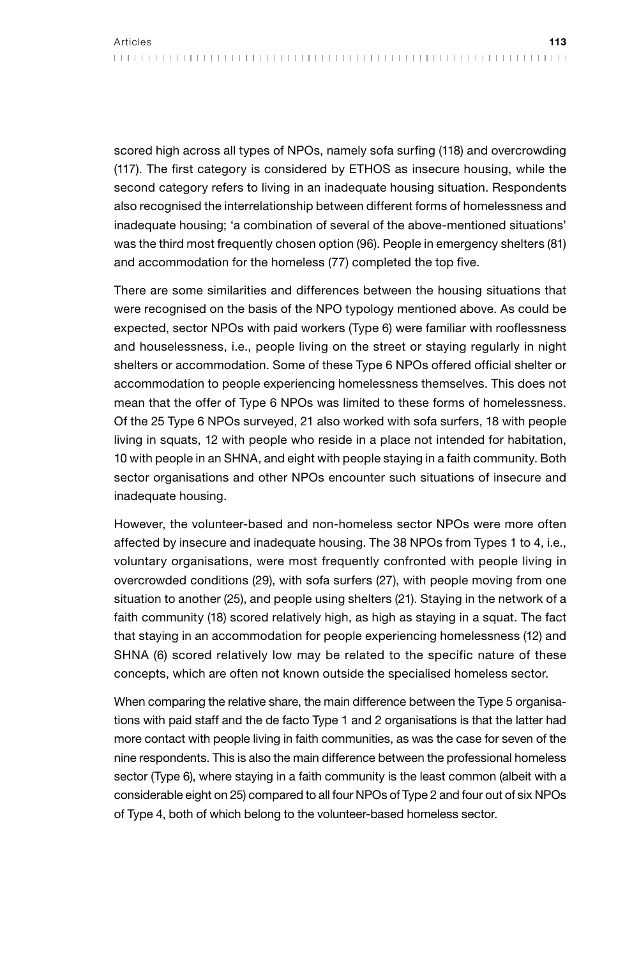scored high across all types of NPOs, namely sofa surfing (118) and overcrowding (117). The first category is considered by ETHOS as insecure housing, while the second category refers to living in an inadequate housing situation. Respondents also recognised the interrelationship between different forms of homelessness and inadequate housing; 'a combination of several of the above-mentioned situations' was the third most frequently chosen option (96). People in emergency shelters (81) and accommodation for the homeless (77) completed the top five.

There are some similarities and differences between the housing situations that were recognised on the basis of the NPO typology mentioned above. As could be expected, sector NPOs with paid workers (Type 6) were familiar with rooflessness and houselessness, i.e., people living on the street or staying regularly in night shelters or accommodation. Some of these Type 6 NPOs offered official shelter or accommodation to people experiencing homelessness themselves. This does not mean that the offer of Type 6 NPOs was limited to these forms of homelessness. Of the 25 Type 6 NPOs surveyed, 21 also worked with sofa surfers, 18 with people living in squats, 12 with people who reside in a place not intended for habitation, 10 with people in an SHNA, and eight with people staying in a faith community. Both sector organisations and other NPOs encounter such situations of insecure and inadequate housing.

However, the volunteer-based and non-homeless sector NPOs were more often affected by insecure and inadequate housing. The 38 NPOs from Types 1 to 4, i.e., voluntary organisations, were most frequently confronted with people living in overcrowded conditions (29), with sofa surfers (27), with people moving from one situation to another (25), and people using shelters (21). Staying in the network of a faith community (18) scored relatively high, as high as staying in a squat. The fact that staying in an accommodation for people experiencing homelessness (12) and SHNA (6) scored relatively low may be related to the specific nature of these concepts, which are often not known outside the specialised homeless sector.

When comparing the relative share, the main difference between the Type 5 organisations with paid staff and the de facto Type 1 and 2 organisations is that the latter had more contact with people living in faith communities, as was the case for seven of the nine respondents. This is also the main difference between the professional homeless sector (Type 6), where staying in a faith community is the least common (albeit with a considerable eight on 25) compared to all four NPOs of Type 2 and four out of six NPOs of Type 4, both of which belong to the volunteer-based homeless sector.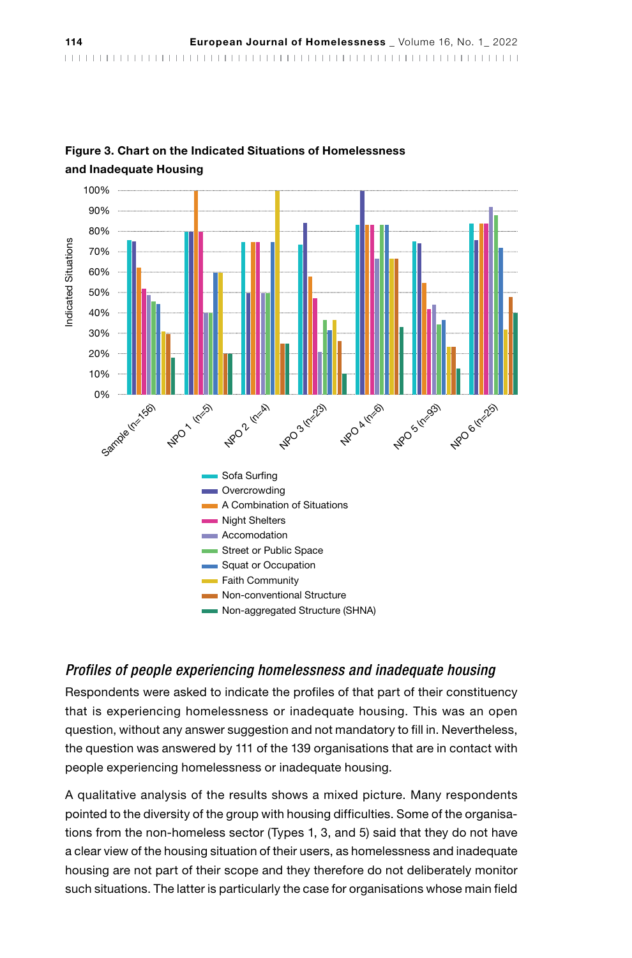

# Figure 3. Chart on the Indicated Situations of Homelessness

#### *Profiles of people experiencing homelessness and inadequate housing*

Respondents were asked to indicate the profiles of that part of their constituency that is experiencing homelessness or inadequate housing. This was an open question, without any answer suggestion and not mandatory to fill in. Nevertheless, the question was answered by 111 of the 139 organisations that are in contact with people experiencing homelessness or inadequate housing.

A qualitative analysis of the results shows a mixed picture. Many respondents pointed to the diversity of the group with housing difficulties. Some of the organisations from the non-homeless sector (Types 1, 3, and 5) said that they do not have a clear view of the housing situation of their users, as homelessness and inadequate housing are not part of their scope and they therefore do not deliberately monitor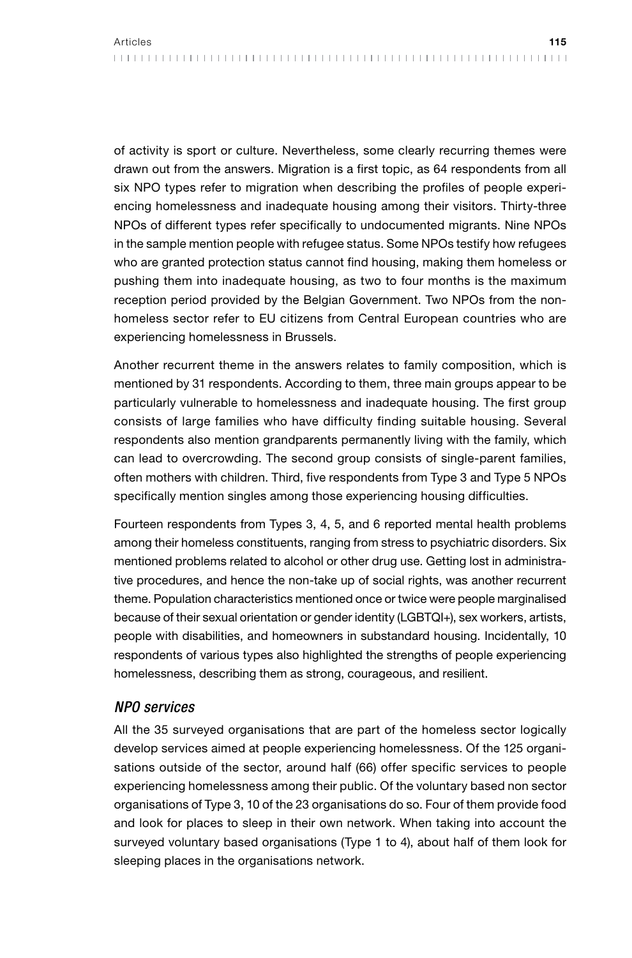of activity is sport or culture. Nevertheless, some clearly recurring themes were drawn out from the answers. Migration is a first topic, as 64 respondents from all six NPO types refer to migration when describing the profiles of people experiencing homelessness and inadequate housing among their visitors. Thirty-three NPOs of different types refer specifically to undocumented migrants. Nine NPOs in the sample mention people with refugee status. Some NPOs testify how refugees who are granted protection status cannot find housing, making them homeless or pushing them into inadequate housing, as two to four months is the maximum reception period provided by the Belgian Government. Two NPOs from the nonhomeless sector refer to EU citizens from Central European countries who are experiencing homelessness in Brussels.

Another recurrent theme in the answers relates to family composition, which is mentioned by 31 respondents. According to them, three main groups appear to be particularly vulnerable to homelessness and inadequate housing. The first group consists of large families who have difficulty finding suitable housing. Several respondents also mention grandparents permanently living with the family, which can lead to overcrowding. The second group consists of single-parent families, often mothers with children. Third, five respondents from Type 3 and Type 5 NPOs specifically mention singles among those experiencing housing difficulties.

Fourteen respondents from Types 3, 4, 5, and 6 reported mental health problems among their homeless constituents, ranging from stress to psychiatric disorders. Six mentioned problems related to alcohol or other drug use. Getting lost in administrative procedures, and hence the non-take up of social rights, was another recurrent theme. Population characteristics mentioned once or twice were people marginalised because of their sexual orientation or gender identity (LGBTQI+), sex workers, artists, people with disabilities, and homeowners in substandard housing. Incidentally, 10 respondents of various types also highlighted the strengths of people experiencing homelessness, describing them as strong, courageous, and resilient.

#### *NPO services*

All the 35 surveyed organisations that are part of the homeless sector logically develop services aimed at people experiencing homelessness. Of the 125 organisations outside of the sector, around half (66) offer specific services to people experiencing homelessness among their public. Of the voluntary based non sector organisations of Type 3, 10 of the 23 organisations do so. Four of them provide food and look for places to sleep in their own network. When taking into account the surveyed voluntary based organisations (Type 1 to 4), about half of them look for sleeping places in the organisations network.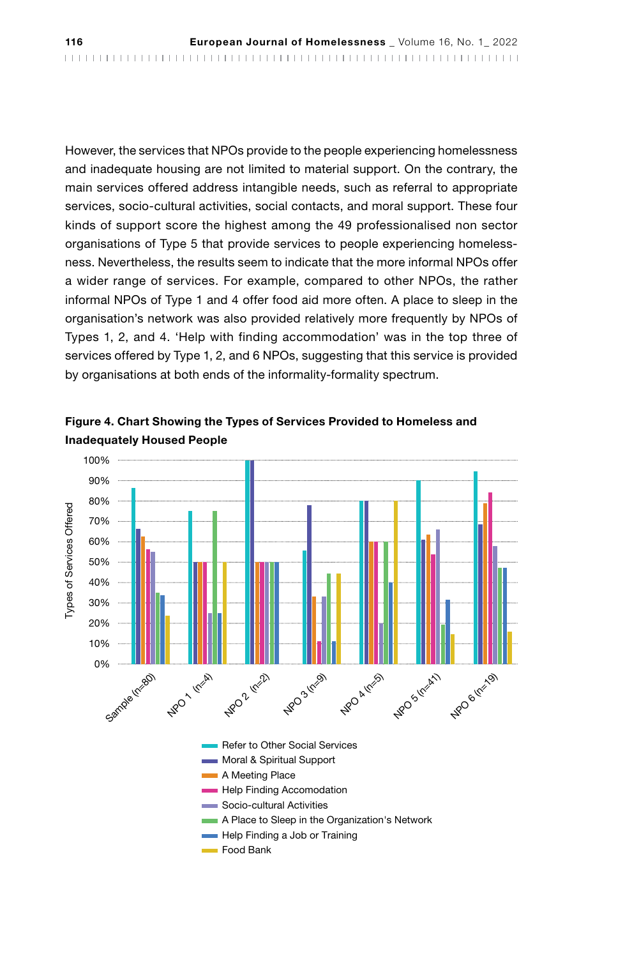However, the services that NPOs provide to the people experiencing homelessness and inadequate housing are not limited to material support. On the contrary, the main services offered address intangible needs, such as referral to appropriate services, socio-cultural activities, social contacts, and moral support. These four kinds of support score the highest among the 49 professionalised non sector organisations of Type 5 that provide services to people experiencing homelessness. Nevertheless, the results seem to indicate that the more informal NPOs offer a wider range of services. For example, compared to other NPOs, the rather informal NPOs of Type 1 and 4 offer food aid more often. A place to sleep in the organisation's network was also provided relatively more frequently by NPOs of Types 1, 2, and 4. 'Help with finding accommodation' was in the top three of services offered by Type 1, 2, and 6 NPOs, suggesting that this service is provided by organisations at both ends of the informality-formality spectrum.



Figure 4. Chart Showing the Types of Services Provided to Homeless and Inadequately Housed People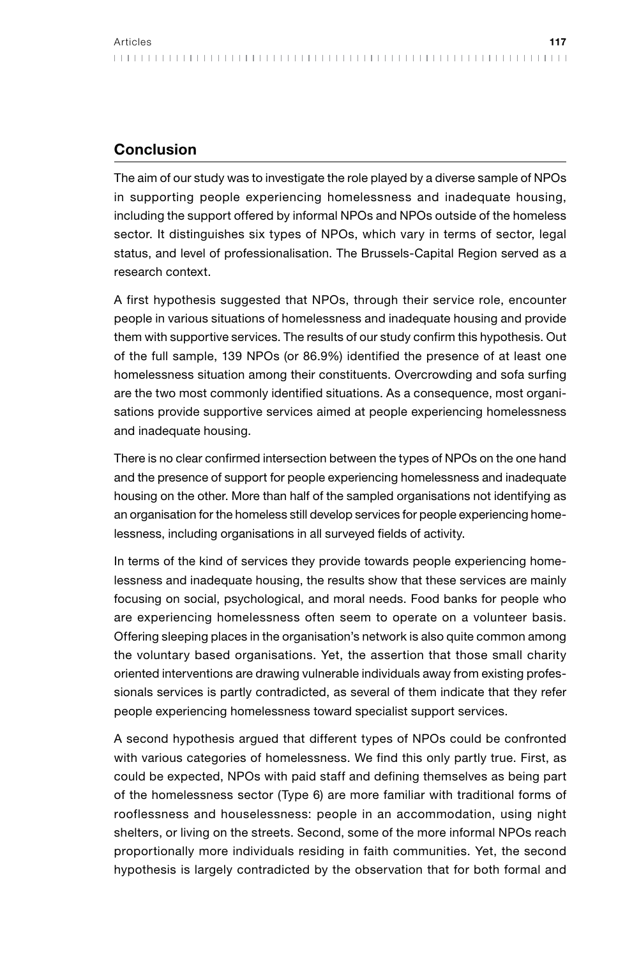## Conclusion

The aim of our study was to investigate the role played by a diverse sample of NPOs in supporting people experiencing homelessness and inadequate housing, including the support offered by informal NPOs and NPOs outside of the homeless sector. It distinguishes six types of NPOs, which vary in terms of sector, legal status, and level of professionalisation. The Brussels-Capital Region served as a research context.

A first hypothesis suggested that NPOs, through their service role, encounter people in various situations of homelessness and inadequate housing and provide them with supportive services. The results of our study confirm this hypothesis. Out of the full sample, 139 NPOs (or 86.9%) identified the presence of at least one homelessness situation among their constituents. Overcrowding and sofa surfing are the two most commonly identified situations. As a consequence, most organisations provide supportive services aimed at people experiencing homelessness and inadequate housing.

There is no clear confirmed intersection between the types of NPOs on the one hand and the presence of support for people experiencing homelessness and inadequate housing on the other. More than half of the sampled organisations not identifying as an organisation for the homeless still develop services for people experiencing homelessness, including organisations in all surveyed fields of activity.

In terms of the kind of services they provide towards people experiencing homelessness and inadequate housing, the results show that these services are mainly focusing on social, psychological, and moral needs. Food banks for people who are experiencing homelessness often seem to operate on a volunteer basis. Offering sleeping places in the organisation's network is also quite common among the voluntary based organisations. Yet, the assertion that those small charity oriented interventions are drawing vulnerable individuals away from existing professionals services is partly contradicted, as several of them indicate that they refer people experiencing homelessness toward specialist support services.

A second hypothesis argued that different types of NPOs could be confronted with various categories of homelessness. We find this only partly true. First, as could be expected, NPOs with paid staff and defining themselves as being part of the homelessness sector (Type 6) are more familiar with traditional forms of rooflessness and houselessness: people in an accommodation, using night shelters, or living on the streets. Second, some of the more informal NPOs reach proportionally more individuals residing in faith communities. Yet, the second hypothesis is largely contradicted by the observation that for both formal and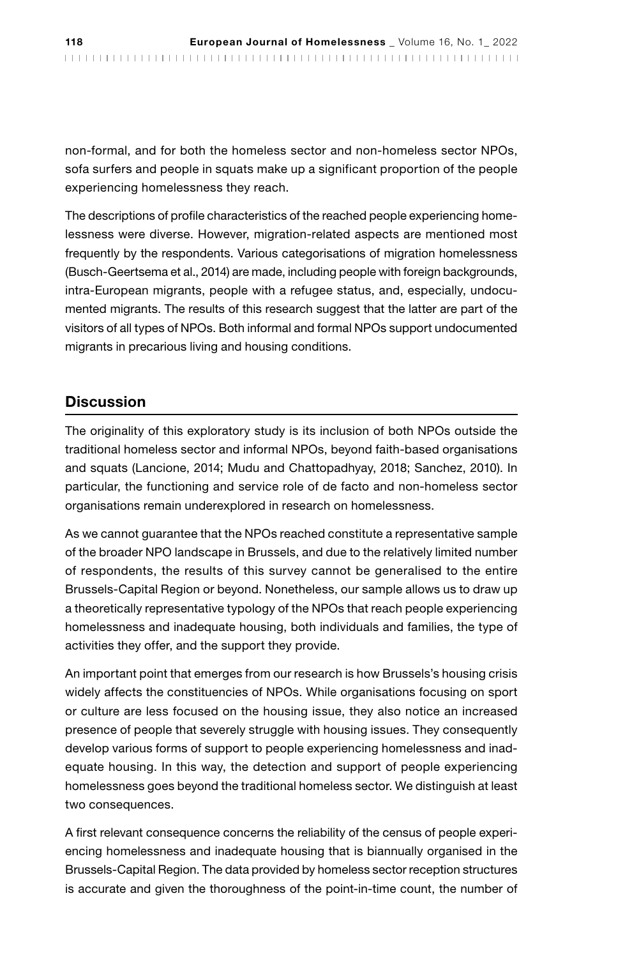non-formal, and for both the homeless sector and non-homeless sector NPOs, sofa surfers and people in squats make up a significant proportion of the people experiencing homelessness they reach.

The descriptions of profile characteristics of the reached people experiencing homelessness were diverse. However, migration-related aspects are mentioned most frequently by the respondents. Various categorisations of migration homelessness (Busch-Geertsema et al., 2014) are made, including people with foreign backgrounds, intra-European migrants, people with a refugee status, and, especially, undocumented migrants. The results of this research suggest that the latter are part of the visitors of all types of NPOs. Both informal and formal NPOs support undocumented migrants in precarious living and housing conditions.

## **Discussion**

The originality of this exploratory study is its inclusion of both NPOs outside the traditional homeless sector and informal NPOs, beyond faith-based organisations and squats (Lancione, 2014; Mudu and Chattopadhyay, 2018; Sanchez, 2010). In particular, the functioning and service role of de facto and non-homeless sector organisations remain underexplored in research on homelessness.

As we cannot guarantee that the NPOs reached constitute a representative sample of the broader NPO landscape in Brussels, and due to the relatively limited number of respondents, the results of this survey cannot be generalised to the entire Brussels-Capital Region or beyond. Nonetheless, our sample allows us to draw up a theoretically representative typology of the NPOs that reach people experiencing homelessness and inadequate housing, both individuals and families, the type of activities they offer, and the support they provide.

An important point that emerges from our research is how Brussels's housing crisis widely affects the constituencies of NPOs. While organisations focusing on sport or culture are less focused on the housing issue, they also notice an increased presence of people that severely struggle with housing issues. They consequently develop various forms of support to people experiencing homelessness and inadequate housing. In this way, the detection and support of people experiencing homelessness goes beyond the traditional homeless sector. We distinguish at least two consequences.

A first relevant consequence concerns the reliability of the census of people experiencing homelessness and inadequate housing that is biannually organised in the Brussels-Capital Region. The data provided by homeless sector reception structures is accurate and given the thoroughness of the point-in-time count, the number of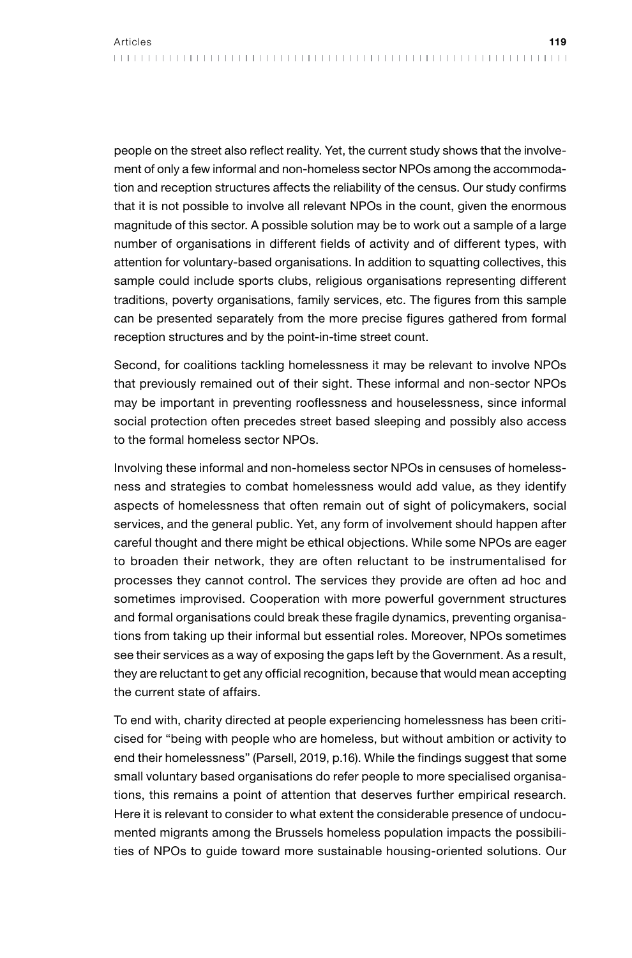people on the street also reflect reality. Yet, the current study shows that the involvement of only a few informal and non-homeless sector NPOs among the accommodation and reception structures affects the reliability of the census. Our study confirms that it is not possible to involve all relevant NPOs in the count, given the enormous magnitude of this sector. A possible solution may be to work out a sample of a large number of organisations in different fields of activity and of different types, with attention for voluntary-based organisations. In addition to squatting collectives, this sample could include sports clubs, religious organisations representing different traditions, poverty organisations, family services, etc. The figures from this sample can be presented separately from the more precise figures gathered from formal reception structures and by the point-in-time street count.

Second, for coalitions tackling homelessness it may be relevant to involve NPOs that previously remained out of their sight. These informal and non-sector NPOs may be important in preventing rooflessness and houselessness, since informal social protection often precedes street based sleeping and possibly also access to the formal homeless sector NPOs.

Involving these informal and non-homeless sector NPOs in censuses of homelessness and strategies to combat homelessness would add value, as they identify aspects of homelessness that often remain out of sight of policymakers, social services, and the general public. Yet, any form of involvement should happen after careful thought and there might be ethical objections. While some NPOs are eager to broaden their network, they are often reluctant to be instrumentalised for processes they cannot control. The services they provide are often ad hoc and sometimes improvised. Cooperation with more powerful government structures and formal organisations could break these fragile dynamics, preventing organisations from taking up their informal but essential roles. Moreover, NPOs sometimes see their services as a way of exposing the gaps left by the Government. As a result, they are reluctant to get any official recognition, because that would mean accepting the current state of affairs.

To end with, charity directed at people experiencing homelessness has been criticised for "being with people who are homeless, but without ambition or activity to end their homelessness" (Parsell, 2019, p.16). While the findings suggest that some small voluntary based organisations do refer people to more specialised organisations, this remains a point of attention that deserves further empirical research. Here it is relevant to consider to what extent the considerable presence of undocumented migrants among the Brussels homeless population impacts the possibilities of NPOs to guide toward more sustainable housing-oriented solutions. Our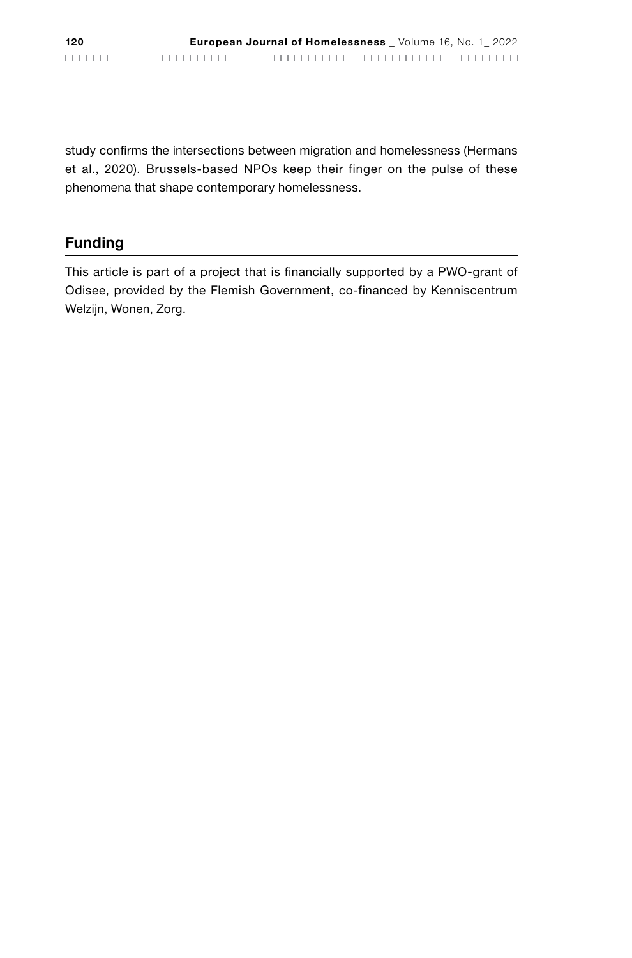study confirms the intersections between migration and homelessness (Hermans et al., 2020). Brussels-based NPOs keep their finger on the pulse of these phenomena that shape contemporary homelessness.

# Funding

This article is part of a project that is financially supported by a PWO-grant of Odisee, provided by the Flemish Government, co-financed by Kenniscentrum Welzijn, Wonen, Zorg.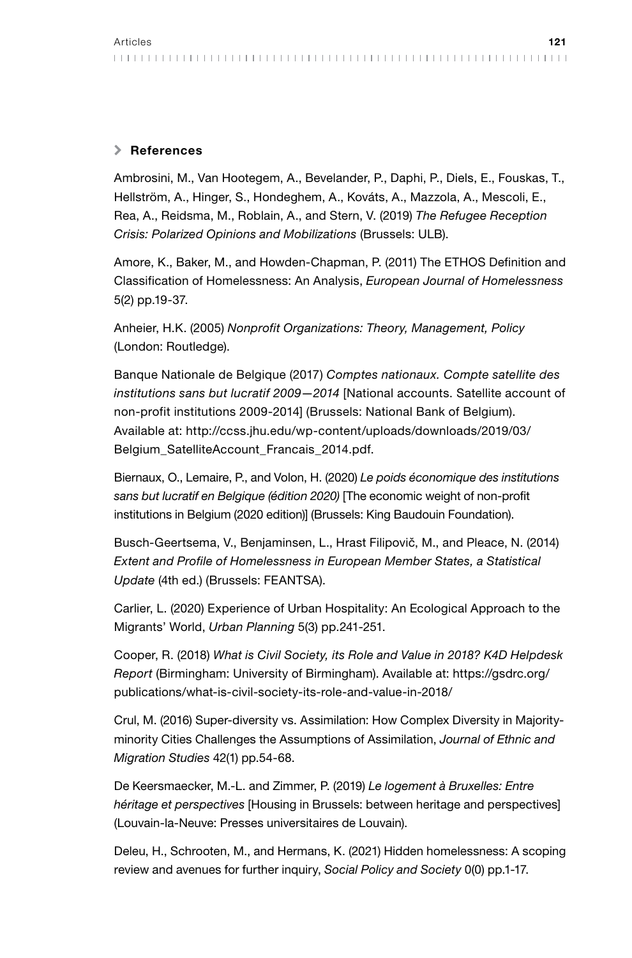#### \ References

Ambrosini, M., Van Hootegem, A., Bevelander, P., Daphi, P., Diels, E., Fouskas, T., Hellström, A., Hinger, S., Hondeghem, A., Kováts, A., Mazzola, A., Mescoli, E., Rea, A., Reidsma, M., Roblain, A., and Stern, V. (2019) *The Refugee Reception Crisis: Polarized Opinions and Mobilizations* (Brussels: ULB).

Amore, K., Baker, M., and Howden-Chapman, P. (2011) The ETHOS Definition and Classification of Homelessness: An Analysis, *European Journal of Homelessness*  5(2) pp.19-37.

Anheier, H.K. (2005) *Nonprofit Organizations: Theory, Management, Policy* (London: Routledge).

Banque Nationale de Belgique (2017) *Comptes nationaux. Compte satellite des institutions sans but lucratif 2009—2014* [National accounts. Satellite account of non-profit institutions 2009-2014] (Brussels: National Bank of Belgium). Available at: http://ccss.jhu.edu/wp-content/uploads/downloads/2019/03/ Belgium\_SatelliteAccount\_Francais\_2014.pdf.

Biernaux, O., Lemaire, P., and Volon, H. (2020) *Le poids économique des institutions sans but lucratif en Belgique (édition 2020)* [The economic weight of non-profit institutions in Belgium (2020 edition)] (Brussels: King Baudouin Foundation).

Busch-Geertsema, V., Benjaminsen, L., Hrast Filipovič, M., and Pleace, N. (2014) *Extent and Profile of Homelessness in European Member States, a Statistical Update* (4th ed.) (Brussels: FEANTSA).

Carlier, L. (2020) Experience of Urban Hospitality: An Ecological Approach to the Migrants' World, *Urban Planning* 5(3) pp.241-251.

Cooper, R. (2018) *What is Civil Society, its Role and Value in 2018? K4D Helpdesk Report* (Birmingham: University of Birmingham). Available at: https://gsdrc.org/ publications/what-is-civil-society-its-role-and-value-in-2018/

Crul, M. (2016) Super-diversity vs. Assimilation: How Complex Diversity in Majorityminority Cities Challenges the Assumptions of Assimilation, *Journal of Ethnic and Migration Studies* 42(1) pp.54-68.

De Keersmaecker, M.-L. and Zimmer, P. (2019) *Le logement à Bruxelles: Entre héritage et perspectives* [Housing in Brussels: between heritage and perspectives] (Louvain-la-Neuve: Presses universitaires de Louvain).

Deleu, H., Schrooten, M., and Hermans, K. (2021) Hidden homelessness: A scoping review and avenues for further inquiry, *Social Policy and Society* 0(0) pp.1-17.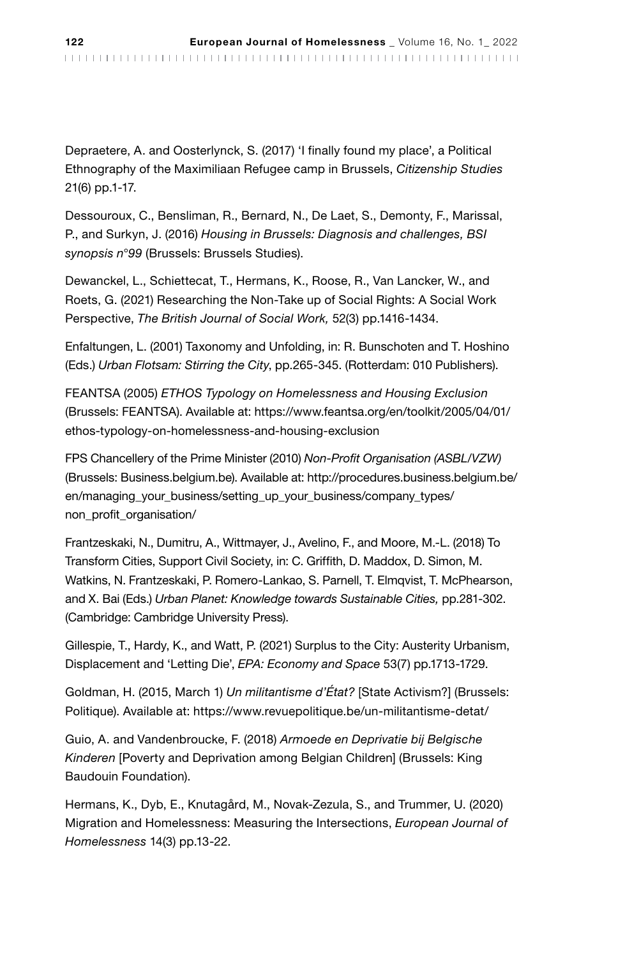Depraetere, A. and Oosterlynck, S. (2017) 'I finally found my place', a Political Ethnography of the Maximiliaan Refugee camp in Brussels, *Citizenship Studies* 21(6) pp.1-17.

Dessouroux, C., Bensliman, R., Bernard, N., De Laet, S., Demonty, F., Marissal, P., and Surkyn, J. (2016) *Housing in Brussels: Diagnosis and challenges, BSI synopsis n°99* (Brussels: Brussels Studies).

Dewanckel, L., Schiettecat, T., Hermans, K., Roose, R., Van Lancker, W., and Roets, G. (2021) Researching the Non-Take up of Social Rights: A Social Work Perspective, *The British Journal of Social Work,* 52(3) pp.1416-1434.

Enfaltungen, L. (2001) Taxonomy and Unfolding, in: R. Bunschoten and T. Hoshino (Eds.) *Urban Flotsam: Stirring the City*, pp.265-345. (Rotterdam: 010 Publishers).

FEANTSA (2005) *ETHOS Typology on Homelessness and Housing Exclusion* (Brussels: FEANTSA). Available at: https://www.feantsa.org/en/toolkit/2005/04/01/ ethos-typology-on-homelessness-and-housing-exclusion

FPS Chancellery of the Prime Minister (2010) *Non-Profit Organisation (ASBL/VZW)* (Brussels: Business.belgium.be). Available at: http://procedures.business.belgium.be/ en/managing\_your\_business/setting\_up\_your\_business/company\_types/ non\_profit\_organisation/

Frantzeskaki, N., Dumitru, A., Wittmayer, J., Avelino, F., and Moore, M.-L. (2018) To Transform Cities, Support Civil Society, in: C. Griffith, D. Maddox, D. Simon, M. Watkins, N. Frantzeskaki, P. Romero-Lankao, S. Parnell, T. Elmqvist, T. McPhearson, and X. Bai (Eds.) *Urban Planet: Knowledge towards Sustainable Cities,* pp.281-302. (Cambridge: Cambridge University Press).

Gillespie, T., Hardy, K., and Watt, P. (2021) Surplus to the City: Austerity Urbanism, Displacement and 'Letting Die', *EPA: Economy and Space* 53(7) pp.1713-1729.

Goldman, H. (2015, March 1) *Un militantisme d'État?* [State Activism?] (Brussels: Politique). Available at: https://www.revuepolitique.be/un-militantisme-detat/

Guio, A. and Vandenbroucke, F. (2018) *Armoede en Deprivatie bij Belgische Kinderen* [Poverty and Deprivation among Belgian Children] (Brussels: King Baudouin Foundation).

Hermans, K., Dyb, E., Knutagård, M., Novak-Zezula, S., and Trummer, U. (2020) Migration and Homelessness: Measuring the Intersections, *European Journal of Homelessness* 14(3) pp.13-22.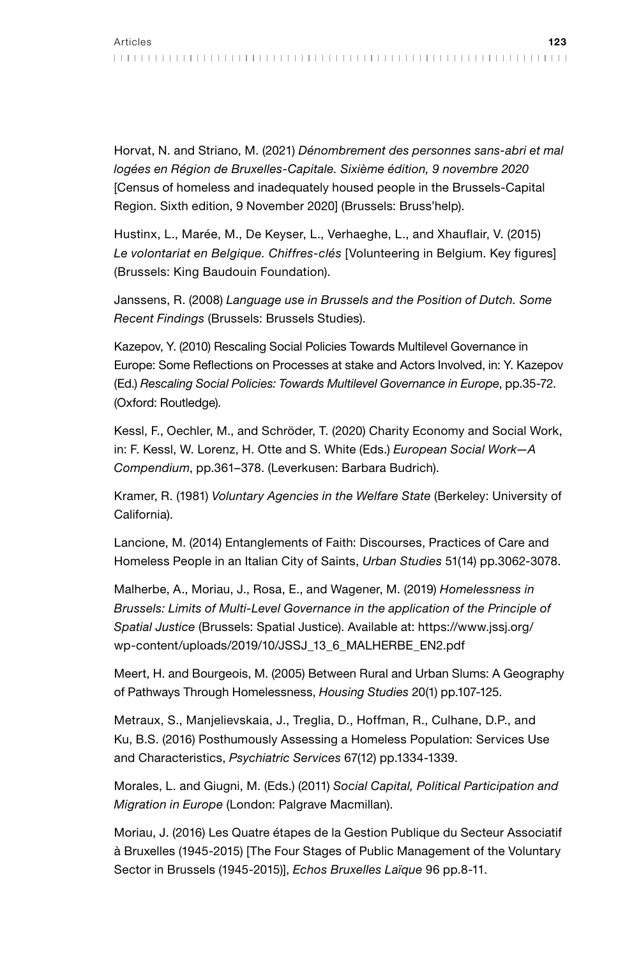Horvat, N. and Striano, M. (2021) *Dénombrement des personnes sans-abri et mal logées en Région de Bruxelles-Capitale. Sixième édition, 9 novembre 2020* [Census of homeless and inadequately housed people in the Brussels-Capital Region. Sixth edition, 9 November 2020] (Brussels: Bruss'help).

Hustinx, L., Marée, M., De Keyser, L., Verhaeghe, L., and Xhauflair, V. (2015) *Le volontariat en Belgique. Chiffres-clés* [Volunteering in Belgium. Key figures] (Brussels: King Baudouin Foundation).

Janssens, R. (2008) *Language use in Brussels and the Position of Dutch. Some Recent Findings* (Brussels: Brussels Studies).

Kazepov, Y. (2010) Rescaling Social Policies Towards Multilevel Governance in Europe: Some Reflections on Processes at stake and Actors Involved, in: Y. Kazepov (Ed.) *Rescaling Social Policies: Towards Multilevel Governance in Europe*, pp.35-72. (Oxford: Routledge).

Kessl, F., Oechler, M., and Schröder, T. (2020) Charity Economy and Social Work, in: F. Kessl, W. Lorenz, H. Otte and S. White (Eds.) *European Social Work—A Compendium*, pp.361–378. (Leverkusen: Barbara Budrich).

Kramer, R. (1981) *Voluntary Agencies in the Welfare State* (Berkeley: University of California).

Lancione, M. (2014) Entanglements of Faith: Discourses, Practices of Care and Homeless People in an Italian City of Saints, *Urban Studies* 51(14) pp.3062-3078.

Malherbe, A., Moriau, J., Rosa, E., and Wagener, M. (2019) *Homelessness in Brussels: Limits of Multi-Level Governance in the application of the Principle of Spatial Justice* (Brussels: Spatial Justice). Available at: https://www.jssj.org/ wp-content/uploads/2019/10/JSSJ\_13\_6\_MALHERBE\_EN2.pdf

Meert, H. and Bourgeois, M. (2005) Between Rural and Urban Slums: A Geography of Pathways Through Homelessness, *Housing Studies* 20(1) pp.107-125.

Metraux, S., Manjelievskaia, J., Treglia, D., Hoffman, R., Culhane, D.P., and Ku, B.S. (2016) Posthumously Assessing a Homeless Population: Services Use and Characteristics, *Psychiatric Services* 67(12) pp.1334-1339.

Morales, L. and Giugni, M. (Eds.) (2011) *Social Capital, Political Participation and Migration in Europe* (London: Palgrave Macmillan).

Moriau, J. (2016) Les Quatre étapes de la Gestion Publique du Secteur Associatif à Bruxelles (1945-2015) [The Four Stages of Public Management of the Voluntary Sector in Brussels (1945-2015)], *Echos Bruxelles Laïque* 96 pp.8-11.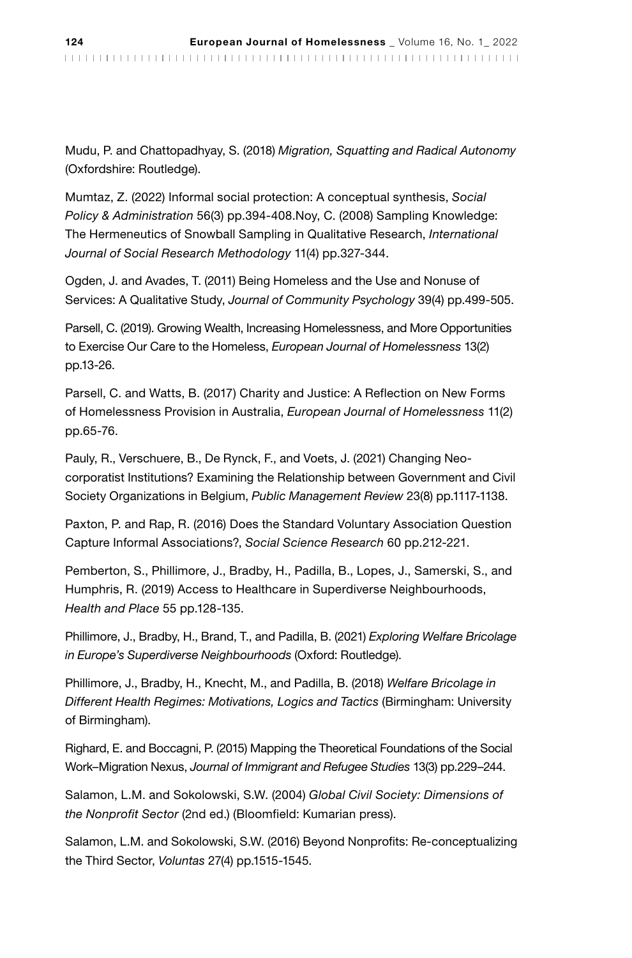Mudu, P. and Chattopadhyay, S. (2018) *Migration, Squatting and Radical Autonomy* (Oxfordshire: Routledge).

Mumtaz, Z. (2022) Informal social protection: A conceptual synthesis, *Social Policy & Administration* 56(3) pp.394-408.Noy, C. (2008) Sampling Knowledge: The Hermeneutics of Snowball Sampling in Qualitative Research, *International Journal of Social Research Methodology* 11(4) pp.327-344.

Ogden, J. and Avades, T. (2011) Being Homeless and the Use and Nonuse of Services: A Qualitative Study, *Journal of Community Psychology* 39(4) pp.499-505.

Parsell, C. (2019). Growing Wealth, Increasing Homelessness, and More Opportunities to Exercise Our Care to the Homeless, *European Journal of Homelessness* 13(2) pp.13-26.

Parsell, C. and Watts, B. (2017) Charity and Justice: A Reflection on New Forms of Homelessness Provision in Australia, *European Journal of Homelessness* 11(2) pp.65-76.

Pauly, R., Verschuere, B., De Rynck, F., and Voets, J. (2021) Changing Neocorporatist Institutions? Examining the Relationship between Government and Civil Society Organizations in Belgium, *Public Management Review* 23(8) pp.1117-1138.

Paxton, P. and Rap, R. (2016) Does the Standard Voluntary Association Question Capture Informal Associations?, *Social Science Research* 60 pp.212-221.

Pemberton, S., Phillimore, J., Bradby, H., Padilla, B., Lopes, J., Samerski, S., and Humphris, R. (2019) Access to Healthcare in Superdiverse Neighbourhoods, *Health and Place* 55 pp.128-135.

Phillimore, J., Bradby, H., Brand, T., and Padilla, B. (2021) *Exploring Welfare Bricolage in Europe's Superdiverse Neighbourhoods* (Oxford: Routledge).

Phillimore, J., Bradby, H., Knecht, M., and Padilla, B. (2018) *Welfare Bricolage in Different Health Regimes: Motivations, Logics and Tactics* (Birmingham: University of Birmingham).

Righard, E. and Boccagni, P. (2015) Mapping the Theoretical Foundations of the Social Work–Migration Nexus, *Journal of Immigrant and Refugee Studies* 13(3) pp.229–244.

Salamon, L.M. and Sokolowski, S.W. (2004) *Global Civil Society: Dimensions of the Nonprofit Sector* (2nd ed.) (Bloomfield: Kumarian press).

Salamon, L.M. and Sokolowski, S.W. (2016) Beyond Nonprofits: Re-conceptualizing the Third Sector, *Voluntas* 27(4) pp.1515-1545.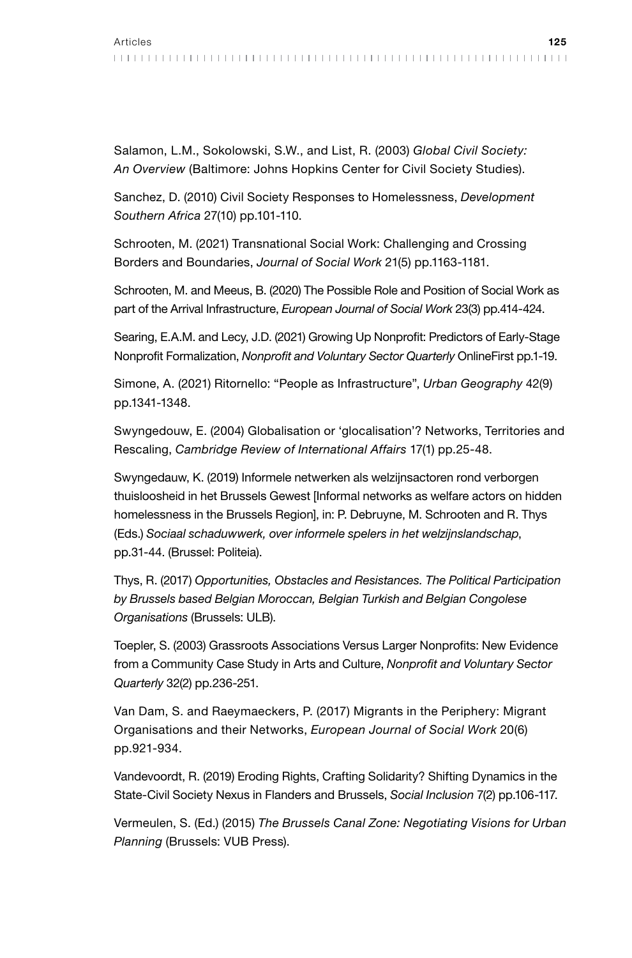Salamon, L.M., Sokolowski, S.W., and List, R. (2003) *Global Civil Society: An Overview* (Baltimore: Johns Hopkins Center for Civil Society Studies).

Sanchez, D. (2010) Civil Society Responses to Homelessness, *Development Southern Africa* 27(10) pp.101-110.

Schrooten, M. (2021) Transnational Social Work: Challenging and Crossing Borders and Boundaries, *Journal of Social Work* 21(5) pp.1163-1181.

Schrooten, M. and Meeus, B. (2020) The Possible Role and Position of Social Work as part of the Arrival Infrastructure, *European Journal of Social Work* 23(3) pp.414-424.

Searing, E.A.M. and Lecy, J.D. (2021) Growing Up Nonprofit: Predictors of Early-Stage Nonprofit Formalization, *Nonprofit and Voluntary Sector Quarterly* OnlineFirst pp.1-19.

Simone, A. (2021) Ritornello: "People as Infrastructure", *Urban Geography* 42(9) pp.1341-1348.

Swyngedouw, E. (2004) Globalisation or 'glocalisation'? Networks, Territories and Rescaling, *Cambridge Review of International Affairs* 17(1) pp.25-48.

Swyngedauw, K. (2019) Informele netwerken als welzijnsactoren rond verborgen thuisloosheid in het Brussels Gewest [Informal networks as welfare actors on hidden homelessness in the Brussels Region], in: P. Debruyne, M. Schrooten and R. Thys (Eds.) *Sociaal schaduwwerk, over informele spelers in het welzijnslandschap*, pp.31-44. (Brussel: Politeia).

Thys, R. (2017) *Opportunities, Obstacles and Resistances. The Political Participation by Brussels based Belgian Moroccan, Belgian Turkish and Belgian Congolese Organisations* (Brussels: ULB).

Toepler, S. (2003) Grassroots Associations Versus Larger Nonprofits: New Evidence from a Community Case Study in Arts and Culture, *Nonprofit and Voluntary Sector Quarterly* 32(2) pp.236-251.

Van Dam, S. and Raeymaeckers, P. (2017) Migrants in the Periphery: Migrant Organisations and their Networks, *European Journal of Social Work* 20(6) pp.921-934.

Vandevoordt, R. (2019) Eroding Rights, Crafting Solidarity? Shifting Dynamics in the State-Civil Society Nexus in Flanders and Brussels, *Social Inclusion* 7(2) pp.106-117.

Vermeulen, S. (Ed.) (2015) *The Brussels Canal Zone: Negotiating Visions for Urban Planning* (Brussels: VUB Press).